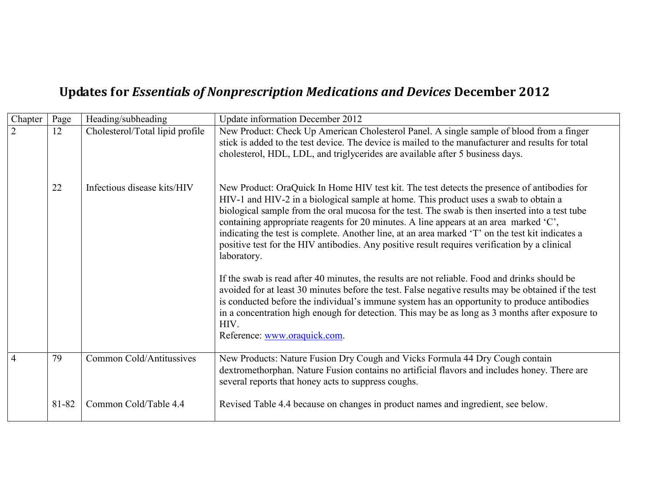## **Updates for** *Essentials of Nonprescription Medications and Devices* **December 2012**

| Chapter        | Page  | Heading/subheading              | <b>Update information December 2012</b>                                                                                                                                                                                                                                                                                                                                                                                                                                                                                                                                                                                                                                                                                                                                                                                                                                                                                                                                                                                                               |  |  |  |  |
|----------------|-------|---------------------------------|-------------------------------------------------------------------------------------------------------------------------------------------------------------------------------------------------------------------------------------------------------------------------------------------------------------------------------------------------------------------------------------------------------------------------------------------------------------------------------------------------------------------------------------------------------------------------------------------------------------------------------------------------------------------------------------------------------------------------------------------------------------------------------------------------------------------------------------------------------------------------------------------------------------------------------------------------------------------------------------------------------------------------------------------------------|--|--|--|--|
| $\overline{2}$ | 12    | Cholesterol/Total lipid profile | New Product: Check Up American Cholesterol Panel. A single sample of blood from a finger<br>stick is added to the test device. The device is mailed to the manufacturer and results for total<br>cholesterol, HDL, LDL, and triglycerides are available after 5 business days.                                                                                                                                                                                                                                                                                                                                                                                                                                                                                                                                                                                                                                                                                                                                                                        |  |  |  |  |
|                | 22    | Infectious disease kits/HIV     | New Product: OraQuick In Home HIV test kit. The test detects the presence of antibodies for<br>HIV-1 and HIV-2 in a biological sample at home. This product uses a swab to obtain a<br>biological sample from the oral mucosa for the test. The swab is then inserted into a test tube<br>containing appropriate reagents for 20 minutes. A line appears at an area marked 'C',<br>indicating the test is complete. Another line, at an area marked 'T' on the test kit indicates a<br>positive test for the HIV antibodies. Any positive result requires verification by a clinical<br>laboratory.<br>If the swab is read after 40 minutes, the results are not reliable. Food and drinks should be<br>avoided for at least 30 minutes before the test. False negative results may be obtained if the test<br>is conducted before the individual's immune system has an opportunity to produce antibodies<br>in a concentration high enough for detection. This may be as long as 3 months after exposure to<br>HIV.<br>Reference: www.oraquick.com. |  |  |  |  |
| $\overline{4}$ | 79    | Common Cold/Antitussives        | New Products: Nature Fusion Dry Cough and Vicks Formula 44 Dry Cough contain<br>dextromethorphan. Nature Fusion contains no artificial flavors and includes honey. There are<br>several reports that honey acts to suppress coughs.                                                                                                                                                                                                                                                                                                                                                                                                                                                                                                                                                                                                                                                                                                                                                                                                                   |  |  |  |  |
|                | 81-82 | Common Cold/Table 4.4           | Revised Table 4.4 because on changes in product names and ingredient, see below.                                                                                                                                                                                                                                                                                                                                                                                                                                                                                                                                                                                                                                                                                                                                                                                                                                                                                                                                                                      |  |  |  |  |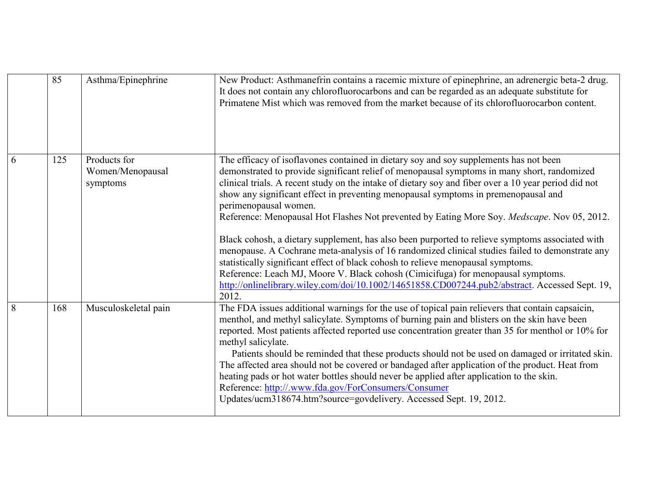|   | 85  | Asthma/Epinephrine                           | New Product: Asthmanefrin contains a racemic mixture of epinephrine, an adrenergic beta-2 drug.<br>It does not contain any chlorofluorocarbons and can be regarded as an adequate substitute for<br>Primatene Mist which was removed from the market because of its chlorofluorocarbon content.                                                                                                                                                                                                                                                                                                                                                                                                                                                                                                                                                                                                                                                                                                     |
|---|-----|----------------------------------------------|-----------------------------------------------------------------------------------------------------------------------------------------------------------------------------------------------------------------------------------------------------------------------------------------------------------------------------------------------------------------------------------------------------------------------------------------------------------------------------------------------------------------------------------------------------------------------------------------------------------------------------------------------------------------------------------------------------------------------------------------------------------------------------------------------------------------------------------------------------------------------------------------------------------------------------------------------------------------------------------------------------|
| 6 | 125 | Products for<br>Women/Menopausal<br>symptoms | The efficacy of isoflavones contained in dietary soy and soy supplements has not been<br>demonstrated to provide significant relief of menopausal symptoms in many short, randomized<br>clinical trials. A recent study on the intake of dietary soy and fiber over a 10 year period did not<br>show any significant effect in preventing menopausal symptoms in premenopausal and<br>perimenopausal women.<br>Reference: Menopausal Hot Flashes Not prevented by Eating More Soy. Medscape. Nov 05, 2012.<br>Black cohosh, a dietary supplement, has also been purported to relieve symptoms associated with<br>menopause. A Cochrane meta-analysis of 16 randomized clinical studies failed to demonstrate any<br>statistically significant effect of black cohosh to relieve menopausal symptoms.<br>Reference: Leach MJ, Moore V. Black cohosh (Cimicifuga) for menopausal symptoms.<br>http://onlinelibrary.wiley.com/doi/10.1002/14651858.CD007244.pub2/abstract. Accessed Sept. 19,<br>2012. |
| 8 | 168 | Musculoskeletal pain                         | The FDA issues additional warnings for the use of topical pain relievers that contain capsaicin,<br>menthol, and methyl salicylate. Symptoms of burning pain and blisters on the skin have been<br>reported. Most patients affected reported use concentration greater than 35 for menthol or 10% for<br>methyl salicylate.<br>Patients should be reminded that these products should not be used on damaged or irritated skin.<br>The affected area should not be covered or bandaged after application of the product. Heat from<br>heating pads or hot water bottles should never be applied after application to the skin.<br>Reference: http://.www.fda.gov/ForConsumers/Consumer<br>Updates/ucm318674.htm?source=govdelivery. Accessed Sept. 19, 2012.                                                                                                                                                                                                                                        |